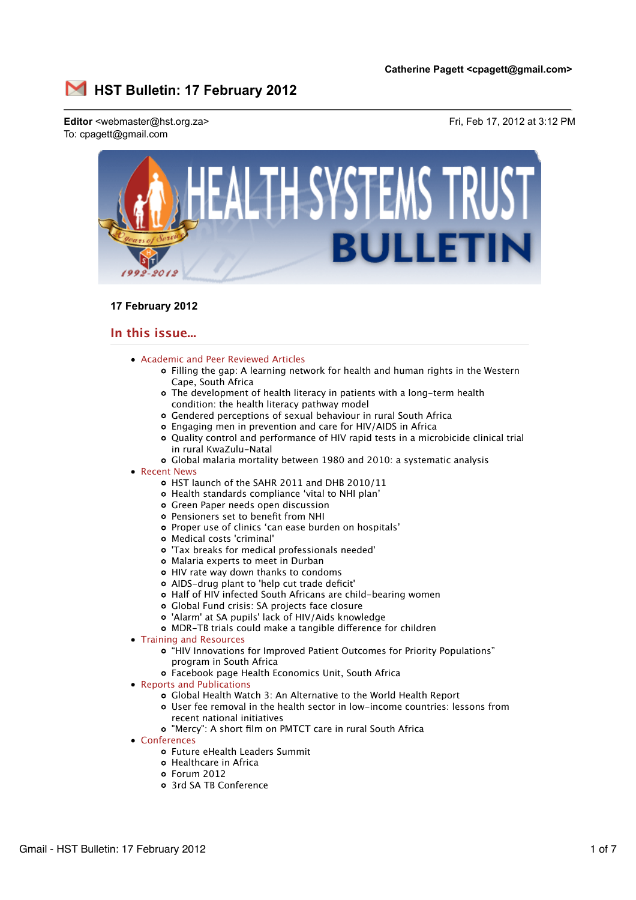

# **17 February 2012**

# **In this issue...**

- Academic and Peer Reviewed Articles
	- Filling the gap: A learning network for health and human rights in the Western Cape, South Africa
	- The development of health literacy in patients with a long-term health condition: the health literacy pathway model
	- Gendered perceptions of sexual behaviour in rural South Africa
	- Engaging men in prevention and care for HIV/AIDS in Africa
	- Quality control and performance of HIV rapid tests in a microbicide clinical trial in rural KwaZulu-Natal
	- Global malaria mortality between 1980 and 2010: a systematic analysis
- Recent News
	- HST launch of the SAHR 2011 and DHB 2010/11
	- Health standards compliance 'vital to NHI plan'
	- Green Paper needs open discussion
	- Pensioners set to benefit from NHI
	- Proper use of clinics 'can ease burden on hospitals'
	- Medical costs 'criminal'
	- 'Tax breaks for medical professionals needed'
	- Malaria experts to meet in Durban
	- HIV rate way down thanks to condoms
	- AIDS-drug plant to 'help cut trade deficit'
	- Half of HIV infected South Africans are child-bearing women
	- Global Fund crisis: SA projects face closure
	- 'Alarm' at SA pupils' lack of HIV/Aids knowledge
	- o MDR-TB trials could make a tangible difference for children
- Training and Resources
	- "HIV Innovations for Improved Patient Outcomes for Priority Populations" program in South Africa
	- Facebook page Health Economics Unit, South Africa
- Reports and Publications
	- Global Health Watch 3: An Alternative to the World Health Report
	- User fee removal in the health sector in low-income countries: lessons from recent national initiatives
	- "Mercy": A short film on PMTCT care in rural South Africa
- Conferences
	- Future eHealth Leaders Summit
	- Healthcare in Africa
	- Forum 2012
	- 3rd SA TB Conference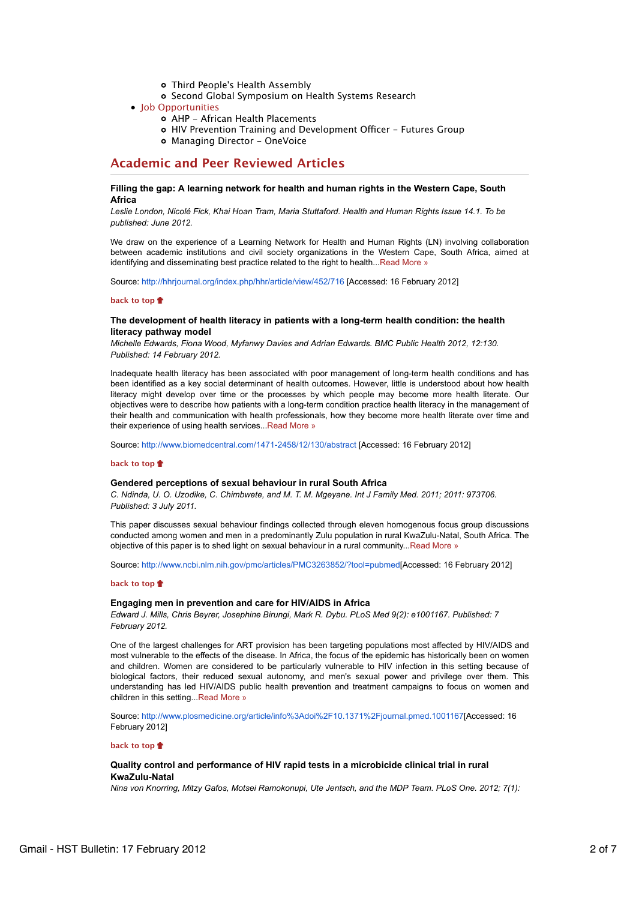- Third People's Health Assembly
- o Second Global Symposium on Health Systems Research
- Job Opportunities
	- AHP African Health Placements
	- o HIV Prevention Training and Development Officer Futures Group
	- o Managing Director OneVoice

# **Academic and Peer Reviewed Articles**

## **Filling the gap: A learning network for health and human rights in the Western Cape, South Africa**

*Leslie London, Nicolé Fick, Khai Hoan Tram, Maria Stuttaford. Health and Human Rights Issue 14.1. To be published: June 2012.*

We draw on the experience of a Learning Network for Health and Human Rights (LN) involving collaboration between academic institutions and civil society organizations in the Western Cape, South Africa, aimed at identifying and disseminating best practice related to the right to health...Read More »

Source: http://hhrjournal.org/index.php/hhr/article/view/452/716 [Accessed: 16 February 2012]

## **back to top**

## **The development of health literacy in patients with a long-term health condition: the health literacy pathway model**

*Michelle Edwards, Fiona Wood, Myfanwy Davies and Adrian Edwards. BMC Public Health 2012, 12:130. Published: 14 February 2012.*

Inadequate health literacy has been associated with poor management of long-term health conditions and has been identified as a key social determinant of health outcomes. However, little is understood about how health literacy might develop over time or the processes by which people may become more health literate. Our objectives were to describe how patients with a long-term condition practice health literacy in the management of their health and communication with health professionals, how they become more health literate over time and their experience of using health services...Read More »

Source: http://www.biomedcentral.com/1471-2458/12/130/abstract [Accessed: 16 February 2012]

## **back to top**

### **Gendered perceptions of sexual behaviour in rural South Africa**

*C. Ndinda, U. O. Uzodike, C. Chimbwete, and M. T. M. Mgeyane. Int J Family Med. 2011; 2011: 973706. Published: 3 July 2011.*

This paper discusses sexual behaviour findings collected through eleven homogenous focus group discussions conducted among women and men in a predominantly Zulu population in rural KwaZulu-Natal, South Africa. The objective of this paper is to shed light on sexual behaviour in a rural community...Read More »

Source: http://www.ncbi.nlm.nih.gov/pmc/articles/PMC3263852/?tool=pubmed[Accessed: 16 February 2012]

#### **back to top**

### **Engaging men in prevention and care for HIV/AIDS in Africa**

*Edward J. Mills, Chris Beyrer, Josephine Birungi, Mark R. Dybu. PLoS Med 9(2): e1001167. Published: 7 February 2012.*

One of the largest challenges for ART provision has been targeting populations most affected by HIV/AIDS and most vulnerable to the effects of the disease. In Africa, the focus of the epidemic has historically been on women and children. Women are considered to be particularly vulnerable to HIV infection in this setting because of biological factors, their reduced sexual autonomy, and men's sexual power and privilege over them. This understanding has led HIV/AIDS public health prevention and treatment campaigns to focus on women and children in this setting...Read More »

Source: http://www.plosmedicine.org/article/info%3Adoi%2F10.1371%2Fjournal.pmed.1001167[Accessed: 16 February 2012]

**back to top**

## **Quality control and performance of HIV rapid tests in a microbicide clinical trial in rural KwaZulu-Natal**

*Nina von Knorring, Mitzy Gafos, Motsei Ramokonupi, Ute Jentsch, and the MDP Team. PLoS One. 2012; 7(1):*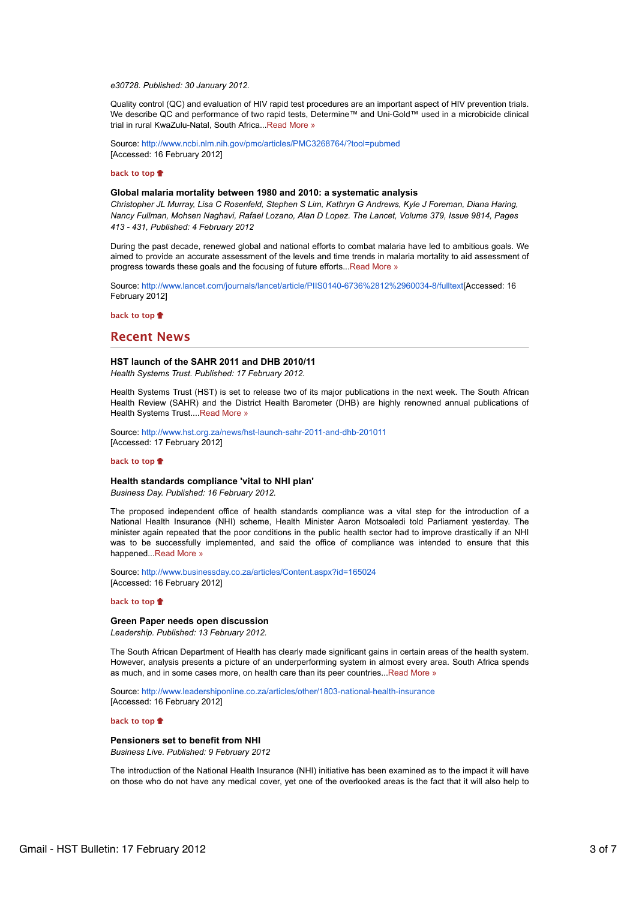*e30728. Published: 30 January 2012.*

Quality control (QC) and evaluation of HIV rapid test procedures are an important aspect of HIV prevention trials. We describe QC and performance of two rapid tests. Determine™ and Uni-Gold™ used in a microbicide clinical trial in rural KwaZulu-Natal, South Africa...Read More »

Source: http://www.ncbi.nlm.nih.gov/pmc/articles/PMC3268764/?tool=pubmed [Accessed: 16 February 2012]

#### **back to top**

## **Global malaria mortality between 1980 and 2010: a systematic analysis**

*Christopher JL Murray, Lisa C Rosenfeld, Stephen S Lim, Kathryn G Andrews, Kyle J Foreman, Diana Haring, Nancy Fullman, Mohsen Naghavi, Rafael Lozano, Alan D Lopez. The Lancet, Volume 379, Issue 9814, Pages 413 - 431, Published: 4 February 2012*

During the past decade, renewed global and national efforts to combat malaria have led to ambitious goals. We aimed to provide an accurate assessment of the levels and time trends in malaria mortality to aid assessment of progress towards these goals and the focusing of future efforts...Read More »

Source: http://www.lancet.com/journals/lancet/article/PIIS0140-6736%2812%2960034-8/fulltext[Accessed: 16 February 2012]

**back to top**

# **Recent News**

#### **HST launch of the SAHR 2011 and DHB 2010/11**

*Health Systems Trust. Published: 17 February 2012.*

Health Systems Trust (HST) is set to release two of its major publications in the next week. The South African Health Review (SAHR) and the District Health Barometer (DHB) are highly renowned annual publications of Health Systems Trust....Read More »

Source: http://www.hst.org.za/news/hst-launch-sahr-2011-and-dhb-201011 [Accessed: 17 February 2012]

#### **back to top**

#### **Health standards compliance 'vital to NHI plan'**

*Business Day. Published: 16 February 2012.*

The proposed independent office of health standards compliance was a vital step for the introduction of a National Health Insurance (NHI) scheme, Health Minister Aaron Motsoaledi told Parliament yesterday. The minister again repeated that the poor conditions in the public health sector had to improve drastically if an NHI was to be successfully implemented, and said the office of compliance was intended to ensure that this happened...Read More »

Source: http://www.businessday.co.za/articles/Content.aspx?id=165024 [Accessed: 16 February 2012]

### **back to top**

## **Green Paper needs open discussion**

*Leadership. Published: 13 February 2012.*

The South African Department of Health has clearly made significant gains in certain areas of the health system. However, analysis presents a picture of an underperforming system in almost every area. South Africa spends as much, and in some cases more, on health care than its peer countries...Read More »

Source: http://www.leadershiponline.co.za/articles/other/1803-national-health-insurance [Accessed: 16 February 2012]

## **back to top**

#### **Pensioners set to benefit from NHI**

*Business Live. Published: 9 February 2012*

The introduction of the National Health Insurance (NHI) initiative has been examined as to the impact it will have on those who do not have any medical cover, yet one of the overlooked areas is the fact that it will also help to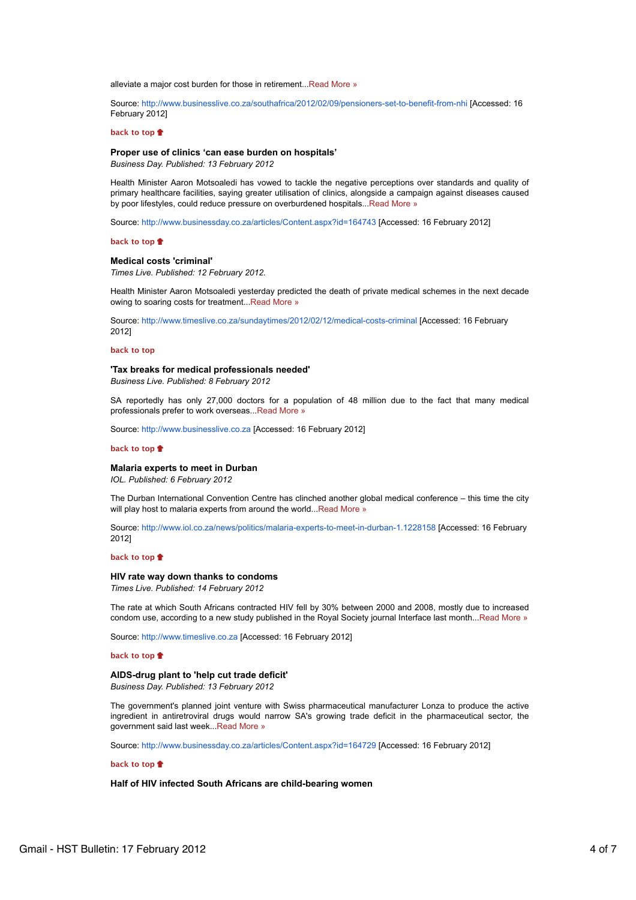alleviate a major cost burden for those in retirement...Read More »

Source: http://www.businesslive.co.za/southafrica/2012/02/09/pensioners-set-to-benefit-from-nhi [Accessed: 16 February 2012]

#### **back to top**

#### **Proper use of clinics 'can ease burden on hospitals'**

*Business Day. Published: 13 February 2012*

Health Minister Aaron Motsoaledi has vowed to tackle the negative perceptions over standards and quality of primary healthcare facilities, saying greater utilisation of clinics, alongside a campaign against diseases caused by poor lifestyles, could reduce pressure on overburdened hospitals...Read More »

Source: http://www.businessday.co.za/articles/Content.aspx?id=164743 [Accessed: 16 February 2012]

#### **back to top**

#### **Medical costs 'criminal'**

*Times Live. Published: 12 February 2012.*

Health Minister Aaron Motsoaledi yesterday predicted the death of private medical schemes in the next decade owing to soaring costs for treatment...Read More »

Source: http://www.timeslive.co.za/sundaytimes/2012/02/12/medical-costs-criminal [Accessed: 16 February 2012]

#### **back to top**

#### **'Tax breaks for medical professionals needed'**

*Business Live. Published: 8 February 2012*

SA reportedly has only 27,000 doctors for a population of 48 million due to the fact that many medical professionals prefer to work overseas...Read More »

Source: http://www.businesslive.co.za [Accessed: 16 February 2012]

### **back to top**

## **Malaria experts to meet in Durban**

*IOL. Published: 6 February 2012*

The Durban International Convention Centre has clinched another global medical conference – this time the city will play host to malaria experts from around the world...Read More »

Source: http://www.iol.co.za/news/politics/malaria-experts-to-meet-in-durban-1.1228158 [Accessed: 16 February 2012]

#### **back to top**

## **HIV rate way down thanks to condoms**

*Times Live. Published: 14 February 2012*

The rate at which South Africans contracted HIV fell by 30% between 2000 and 2008, mostly due to increased condom use, according to a new study published in the Royal Society journal Interface last month...Read More »

Source: http://www.timeslive.co.za [Accessed: 16 February 2012]

### **back to top**

# **AIDS-drug plant to 'help cut trade deficit'**

*Business Day. Published: 13 February 2012*

The government's planned joint venture with Swiss pharmaceutical manufacturer Lonza to produce the active ingredient in antiretroviral drugs would narrow SA's growing trade deficit in the pharmaceutical sector, the government said last week...Read More »

Source: http://www.businessday.co.za/articles/Content.aspx?id=164729 [Accessed: 16 February 2012]

## **back to top**

## **Half of HIV infected South Africans are child-bearing women**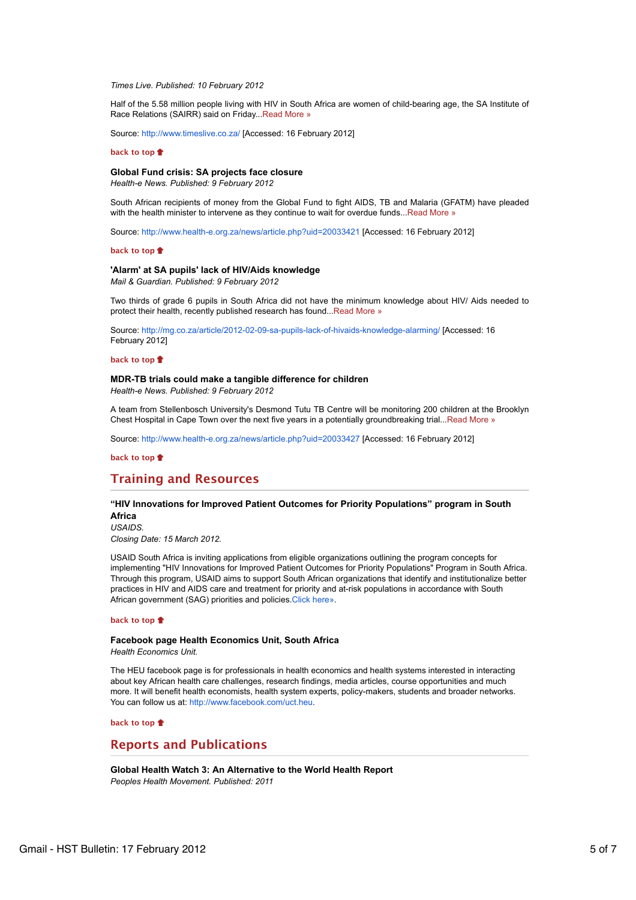#### *Times Live. Published: 10 February 2012*

Half of the 5.58 million people living with HIV in South Africa are women of child-bearing age, the SA Institute of Race Relations (SAIRR) said on Friday...Read More »

Source: http://www.timeslive.co.za/ [Accessed: 16 February 2012]

#### **back to top**

## **Global Fund crisis: SA projects face closure**

*Health-e News. Published: 9 February 2012*

South African recipients of money from the Global Fund to fight AIDS, TB and Malaria (GFATM) have pleaded with the health minister to intervene as they continue to wait for overdue funds...Read More »

Source: http://www.health-e.org.za/news/article.php?uid=20033421 [Accessed: 16 February 2012]

#### **back to top**

## **'Alarm' at SA pupils' lack of HIV/Aids knowledge**

*Mail & Guardian. Published: 9 February 2012*

Two thirds of grade 6 pupils in South Africa did not have the minimum knowledge about HIV/ Aids needed to protect their health, recently published research has found...Read More »

Source: http://mg.co.za/article/2012-02-09-sa-pupils-lack-of-hivaids-knowledge-alarming/ [Accessed: 16 February 2012]

#### **back to top**

# **MDR-TB trials could make a tangible difference for children**

*Health-e News. Published: 9 February 2012*

A team from Stellenbosch University's Desmond Tutu TB Centre will be monitoring 200 children at the Brooklyn Chest Hospital in Cape Town over the next five years in a potentially groundbreaking trial...Read More »

Source: http://www.health-e.org.za/news/article.php?uid=20033427 [Accessed: 16 February 2012]

**back to top**

# **Training and Resources**

## **"HIV Innovations for Improved Patient Outcomes for Priority Populations" program in South Africa**

*USAIDS. Closing Date: 15 March 2012.*

USAID South Africa is inviting applications from eligible organizations outlining the program concepts for implementing "HIV Innovations for Improved Patient Outcomes for Priority Populations" Program in South Africa. Through this program, USAID aims to support South African organizations that identify and institutionalize better practices in HIV and AIDS care and treatment for priority and at-risk populations in accordance with South African government (SAG) priorities and policies.Click here».

#### **back to top**

#### **Facebook page Health Economics Unit, South Africa** *Health Economics Unit.*

The HEU facebook page is for professionals in health economics and health systems interested in interacting about key African health care challenges, research findings, media articles, course opportunities and much more. It will benefit health economists, health system experts, policy-makers, students and broader networks. You can follow us at: http://www.facebook.com/uct.heu.

## **back to top**

## **Reports and Publications**

**Global Health Watch 3: An Alternative to the World Health Report** *Peoples Health Movement. Published: 2011*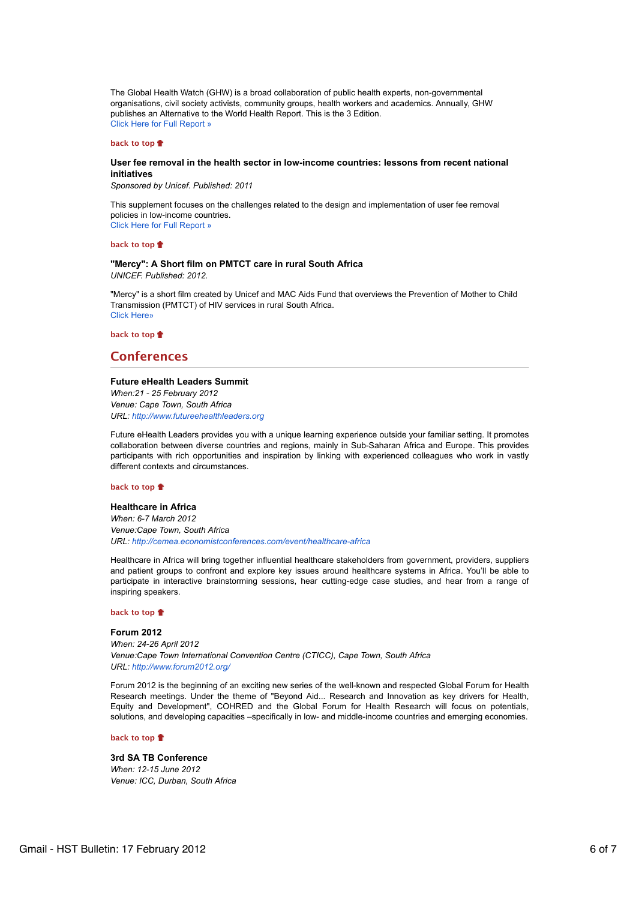The Global Health Watch (GHW) is a broad collaboration of public health experts, non-governmental organisations, civil society activists, community groups, health workers and academics. Annually, GHW publishes an Alternative to the World Health Report. This is the 3 Edition. Click Here for Full Report »

#### **back to top**

## **User fee removal in the health sector in low-income countries: lessons from recent national initiatives**

*Sponsored by Unicef. Published: 2011*

This supplement focuses on the challenges related to the design and implementation of user fee removal policies in low-income countries. Click Here for Full Report »

### **back to top**

## **"Mercy": A Short film on PMTCT care in rural South Africa** *UNICEF. Published: 2012.*

"Mercy" is a short film created by Unicef and MAC Aids Fund that overviews the Prevention of Mother to Child Transmission (PMTCT) of HIV services in rural South Africa. Click Here»

**back to top**

# **Conferences**

## **Future eHealth Leaders Summit**

*When:21 - 25 February 2012 Venue: Cape Town, South Africa URL: http://www.futureehealthleaders.org*

Future eHealth Leaders provides you with a unique learning experience outside your familiar setting. It promotes collaboration between diverse countries and regions, mainly in Sub-Saharan Africa and Europe. This provides participants with rich opportunities and inspiration by linking with experienced colleagues who work in vastly different contexts and circumstances.

## **back to top**

## **Healthcare in Africa**

*When: 6-7 March 2012 Venue:Cape Town, South Africa URL: http://cemea.economistconferences.com/event/healthcare-africa*

Healthcare in Africa will bring together influential healthcare stakeholders from government, providers, suppliers and patient groups to confront and explore key issues around healthcare systems in Africa. You'll be able to participate in interactive brainstorming sessions, hear cutting-edge case studies, and hear from a range of inspiring speakers.

#### **back to top**

**Forum 2012** *When: 24-26 April 2012 Venue:Cape Town International Convention Centre (CTICC), Cape Town, South Africa URL: http://www.forum2012.org/*

Forum 2012 is the beginning of an exciting new series of the well-known and respected Global Forum for Health Research meetings. Under the theme of "Beyond Aid... Research and Innovation as key drivers for Health, Equity and Development", COHRED and the Global Forum for Health Research will focus on potentials, solutions, and developing capacities –specifically in low- and middle-income countries and emerging economies.

#### **back to top**

#### **3rd SA TB Conference**

*When: 12-15 June 2012 Venue: ICC, Durban, South Africa*